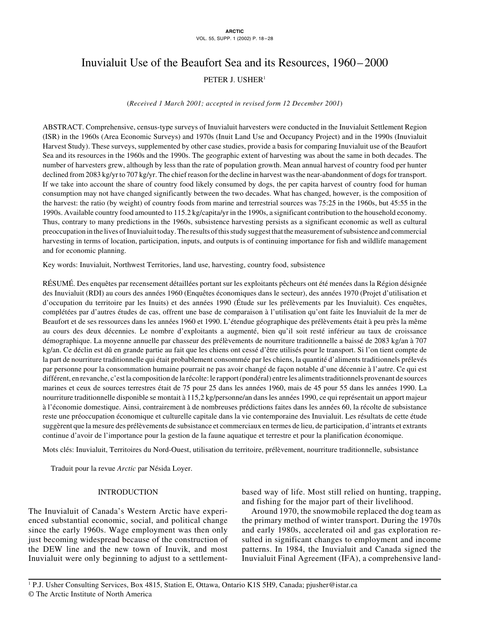# Inuvialuit Use of the Beaufort Sea and its Resources, 1960–2000 PETER J. USHER<sup>1</sup>

(*Received 1 March 2001; accepted in revised form 12 December 2001*)

ABSTRACT. Comprehensive, census-type surveys of Inuvialuit harvesters were conducted in the Inuvialuit Settlement Region (ISR) in the 1960s (Area Economic Surveys) and 1970s (Inuit Land Use and Occupancy Project) and in the 1990s (Inuvialuit Harvest Study). These surveys, supplemented by other case studies, provide a basis for comparing Inuvialuit use of the Beaufort Sea and its resources in the 1960s and the 1990s. The geographic extent of harvesting was about the same in both decades. The number of harvesters grew, although by less than the rate of population growth. Mean annual harvest of country food per hunter declined from 2083 kg/yr to 707 kg/yr. The chief reason for the decline in harvest was the near-abandonment of dogs for transport. If we take into account the share of country food likely consumed by dogs, the per capita harvest of country food for human consumption may not have changed significantly between the two decades. What has changed, however, is the composition of the harvest: the ratio (by weight) of country foods from marine and terrestrial sources was 75:25 in the 1960s, but 45:55 in the 1990s. Available country food amounted to 115.2 kg/capita/yr in the 1990s, a significant contribution to the household economy. Thus, contrary to many predictions in the 1960s, subsistence harvesting persists as a significant economic as well as cultural preoccupation in the lives of Inuvialuit today. The results of this study suggest that the measurement of subsistence and commercial harvesting in terms of location, participation, inputs, and outputs is of continuing importance for fish and wildlife management and for economic planning.

Key words: Inuvialuit, Northwest Territories, land use, harvesting, country food, subsistence

RÉSUMÉ. Des enquêtes par recensement détaillées portant sur les exploitants pêcheurs ont été menées dans la Région désignée des Inuvialuit (RDI) au cours des années 1960 (Enquêtes économiques dans le secteur), des années 1970 (Projet d'utilisation et d'occupation du territoire par les Inuits) et des années 1990 (Étude sur les prélèvements par les Inuvialuit). Ces enquêtes, complétées par d'autres études de cas, offrent une base de comparaison à l'utilisation qu'ont faite les Inuvialuit de la mer de Beaufort et de ses ressources dans les années 1960 et 1990. L'étendue géographique des prélèvements était à peu près la même au cours des deux décennies. Le nombre d'exploitants a augmenté, bien qu'il soit resté inférieur au taux de croissance démographique. La moyenne annuelle par chasseur des prélèvements de nourriture traditionnelle a baissé de 2083 kg/an à 707 kg/an. Ce déclin est dû en grande partie au fait que les chiens ont cessé d'être utilisés pour le transport. Si l'on tient compte de la part de nourriture traditionnelle qui était probablement consommée par les chiens, la quantité d'aliments traditionnels prélevés par personne pour la consommation humaine pourrait ne pas avoir changé de façon notable d'une décennie à l'autre. Ce qui est différent, en revanche, c'est la composition de la récolte: le rapport (pondéral) entre les aliments traditionnels provenant de sources marines et ceux de sources terrestres était de 75 pour 25 dans les années 1960, mais de 45 pour 55 dans les années 1990. La nourriture traditionnelle disponible se montait à 115,2 kg/personne/an dans les années 1990, ce qui représentait un apport majeur à l'économie domestique. Ainsi, contrairement à de nombreuses prédictions faites dans les années 60, la récolte de subsistance reste une préoccupation économique et culturelle capitale dans la vie contemporaine des Inuvialuit. Les résultats de cette étude suggèrent que la mesure des prélèvements de subsistance et commerciaux en termes de lieu, de participation, d'intrants et extrants continue d'avoir de l'importance pour la gestion de la faune aquatique et terrestre et pour la planification économique.

Mots clés: Inuvialuit, Territoires du Nord-Ouest, utilisation du territoire, prélèvement, nourriture traditionnelle, subsistance

Traduit pour la revue *Arctic* par Nésida Loyer.

## INTRODUCTION

The Inuvialuit of Canada's Western Arctic have experienced substantial economic, social, and political change since the early 1960s. Wage employment was then only just becoming widespread because of the construction of the DEW line and the new town of Inuvik, and most Inuvialuit were only beginning to adjust to a settlementbased way of life. Most still relied on hunting, trapping, and fishing for the major part of their livelihood.

Around 1970, the snowmobile replaced the dog team as the primary method of winter transport. During the 1970s and early 1980s, accelerated oil and gas exploration resulted in significant changes to employment and income patterns. In 1984, the Inuvialuit and Canada signed the Inuvialuit Final Agreement (IFA), a comprehensive land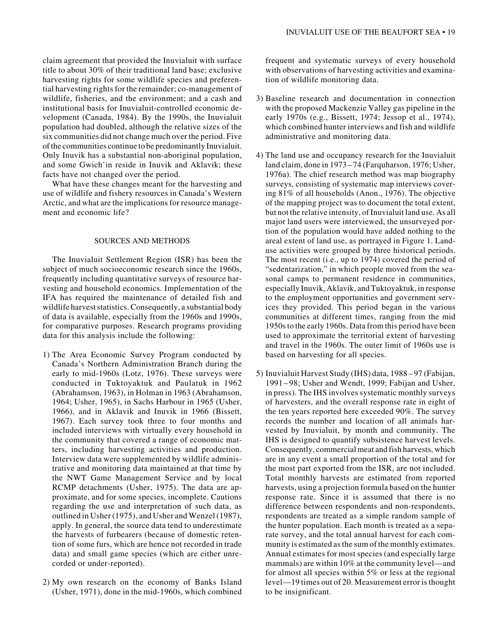claim agreement that provided the Inuvialuit with surface title to about 30% of their traditional land base; exclusive harvesting rights for some wildlife species and preferential harvesting rights for the remainder; co-management of wildlife, fisheries, and the environment; and a cash and institutional basis for Inuvialuit-controlled economic development (Canada, 1984). By the 1990s, the Inuvialuit population had doubled, although the relative sizes of the six communities did not change much over the period. Five of the communities continue to be predominantly Inuvialuit. Only Inuvik has a substantial non-aboriginal population, and some Gwich'in reside in Inuvik and Aklavik; these facts have not changed over the period.

What have these changes meant for the harvesting and use of wildlife and fishery resources in Canada's Western Arctic, and what are the implications for resource management and economic life?

#### SOURCES AND METHODS

The Inuvialuit Settlement Region (ISR) has been the subject of much socioeconomic research since the 1960s, frequently including quantitative surveys of resource harvesting and household economics. Implementation of the IFA has required the maintenance of detailed fish and wildlife harvest statistics. Consequently, a substantial body of data is available, especially from the 1960s and 1990s, for comparative purposes. Research programs providing data for this analysis include the following:

- 1) The Area Economic Survey Program conducted by Canada's Northern Administration Branch during the early to mid-1960s (Lotz, 1976). These surveys were conducted in Tuktoyaktuk and Paulatuk in 1962 (Abrahamson, 1963), in Holman in 1963 (Abrahamson, 1964; Usher, 1965), in Sachs Harbour in 1965 (Usher, 1966), and in Aklavik and Inuvik in 1966 (Bissett, 1967). Each survey took three to four months and included interviews with virtually every household in the community that covered a range of economic matters, including harvesting activities and production. Interview data were supplemented by wildlife administrative and monitoring data maintained at that time by the NWT Game Management Service and by local RCMP detachments (Usher, 1975). The data are approximate, and for some species, incomplete. Cautions regarding the use and interpretation of such data, as outlined in Usher (1975), and Usher and Wenzel (1987), apply. In general, the source data tend to underestimate the harvests of furbearers (because of domestic retention of some furs, which are hence not recorded in trade data) and small game species (which are either unrecorded or under-reported).
- 2) My own research on the economy of Banks Island (Usher, 1971), done in the mid-1960s, which combined

frequent and systematic surveys of every household with observations of harvesting activities and examination of wildlife monitoring data.

- 3) Baseline research and documentation in connection with the proposed Mackenzie Valley gas pipeline in the early 1970s (e.g., Bissett, 1974; Jessop et al., 1974), which combined hunter interviews and fish and wildlife administrative and monitoring data.
- 4) The land use and occupancy research for the Inuvialuit land claim, done in 1973 –74 (Farquharson, 1976; Usher, 1976a). The chief research method was map biography surveys, consisting of systematic map interviews covering 81% of all households (Anon., 1976). The objective of the mapping project was to document the total extent, but not the relative intensity, of Inuvialuit land use. As all major land users were interviewed, the unsurveyed portion of the population would have added nothing to the areal extent of land use, as portrayed in Figure 1. Landuse activities were grouped by three historical periods. The most recent (i.e., up to 1974) covered the period of "sedentarization," in which people moved from the seasonal camps to permanent residence in communities, especially Inuvik, Aklavik, and Tuktoyaktuk, in response to the employment opportunities and government services they provided. This period began in the various communities at different times, ranging from the mid 1950s to the early 1960s. Data from this period have been used to approximate the territorial extent of harvesting and travel in the 1960s. The outer limit of 1960s use is based on harvesting for all species.
- 5) Inuvialuit Harvest Study (IHS) data, 1988 97 (Fabijan, 1991 – 98; Usher and Wendt, 1999; Fabijan and Usher, in press). The IHS involves systematic monthly surveys of harvesters, and the overall response rate in eight of the ten years reported here exceeded 90%. The survey records the number and location of all animals harvested by Inuvialuit, by month and community. The IHS is designed to quantify subsistence harvest levels. Consequently, commercial meat and fish harvests, which are in any event a small proportion of the total and for the most part exported from the ISR, are not included. Total monthly harvests are estimated from reported harvests, using a projection formula based on the hunter response rate. Since it is assumed that there is no difference between respondents and non-respondents, respondents are treated as a simple random sample of the hunter population. Each month is treated as a separate survey, and the total annual harvest for each community is estimated as the sum of the monthly estimates. Annual estimates for most species (and especially large mammals) are within 10% at the community level—and for almost all species within 5% or less at the regional level—19 times out of 20. Measurement error is thought to be insignificant.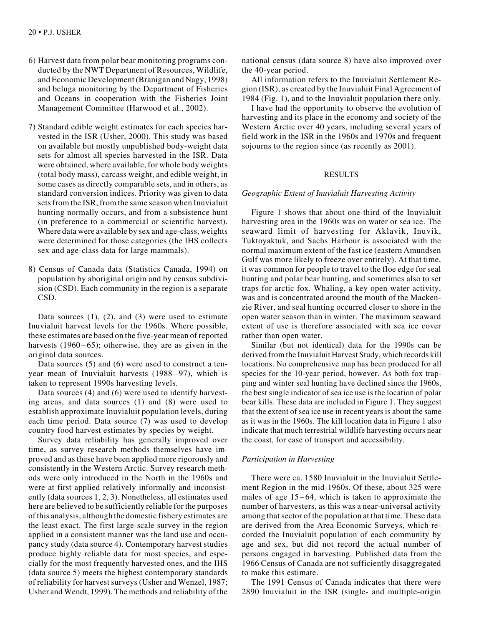- 6) Harvest data from polar bear monitoring programs conducted by the NWT Department of Resources, Wildlife, and Economic Development (Branigan and Nagy, 1998) and beluga monitoring by the Department of Fisheries and Oceans in cooperation with the Fisheries Joint Management Committee (Harwood et al., 2002).
- 7) Standard edible weight estimates for each species harvested in the ISR (Usher, 2000). This study was based on available but mostly unpublished body-weight data sets for almost all species harvested in the ISR. Data were obtained, where available, for whole body weights (total body mass), carcass weight, and edible weight, in some cases as directly comparable sets, and in others, as standard conversion indices. Priority was given to data sets from the ISR, from the same season when Inuvialuit hunting normally occurs, and from a subsistence hunt (in preference to a commercial or scientific harvest). Where data were available by sex and age-class, weights were determined for those categories (the IHS collects sex and age-class data for large mammals).
- 8) Census of Canada data (Statistics Canada, 1994) on population by aboriginal origin and by census subdivision (CSD). Each community in the region is a separate CSD.

Data sources  $(1)$ ,  $(2)$ , and  $(3)$  were used to estimate Inuvialuit harvest levels for the 1960s. Where possible, these estimates are based on the five-year mean of reported harvests (1960–65); otherwise, they are as given in the original data sources.

Data sources (5) and (6) were used to construct a tenyear mean of Inuvialuit harvests (1988–97), which is taken to represent 1990s harvesting levels.

Data sources (4) and (6) were used to identify harvesting areas, and data sources (1) and (8) were used to establish approximate Inuvialuit population levels, during each time period. Data source (7) was used to develop country food harvest estimates by species by weight.

Survey data reliability has generally improved over time, as survey research methods themselves have improved and as these have been applied more rigorously and consistently in the Western Arctic. Survey research methods were only introduced in the North in the 1960s and were at first applied relatively informally and inconsistently (data sources 1, 2, 3). Nonetheless, all estimates used here are believed to be sufficiently reliable for the purposes of this analysis, although the domestic fishery estimates are the least exact. The first large-scale survey in the region applied in a consistent manner was the land use and occupancy study (data source 4). Contemporary harvest studies produce highly reliable data for most species, and especially for the most frequently harvested ones, and the IHS (data source 5) meets the highest contemporary standards of reliability for harvest surveys (Usher and Wenzel, 1987; Usher and Wendt, 1999). The methods and reliability of the national census (data source 8) have also improved over the 40-year period.

All information refers to the Inuvialuit Settlement Region (ISR), as created by the Inuvialuit Final Agreement of 1984 (Fig. 1), and to the Inuvialuit population there only.

I have had the opportunity to observe the evolution of harvesting and its place in the economy and society of the Western Arctic over 40 years, including several years of field work in the ISR in the 1960s and 1970s and frequent sojourns to the region since (as recently as 2001).

## RESULTS

## *Geographic Extent of Inuvialuit Harvesting Activity*

Figure 1 shows that about one-third of the Inuvialuit harvesting area in the 1960s was on water or sea ice. The seaward limit of harvesting for Aklavik, Inuvik, Tuktoyaktuk, and Sachs Harbour is associated with the normal maximum extent of the fast ice (eastern Amundsen Gulf was more likely to freeze over entirely). At that time, it was common for people to travel to the floe edge for seal hunting and polar bear hunting, and sometimes also to set traps for arctic fox. Whaling, a key open water activity, was and is concentrated around the mouth of the Mackenzie River, and seal hunting occurred closer to shore in the open water season than in winter. The maximum seaward extent of use is therefore associated with sea ice cover rather than open water.

Similar (but not identical) data for the 1990s can be derived from the Inuvialuit Harvest Study, which records kill locations. No comprehensive map has been produced for all species for the 10-year period, however. As both fox trapping and winter seal hunting have declined since the 1960s, the best single indicator of sea ice use is the location of polar bear kills. These data are included in Figure 1. They suggest that the extent of sea ice use in recent years is about the same as it was in the 1960s. The kill location data in Figure 1 also indicate that much terrestrial wildlife harvesting occurs near the coast, for ease of transport and accessibility.

## *Participation in Harvesting*

There were ca. 1580 Inuvialuit in the Inuvialuit Settlement Region in the mid-1960s. Of these, about 325 were males of age 15–64, which is taken to approximate the number of harvesters, as this was a near-universal activity among that sector of the population at that time. These data are derived from the Area Economic Surveys, which recorded the Inuvialuit population of each community by age and sex, but did not record the actual number of persons engaged in harvesting. Published data from the 1966 Census of Canada are not sufficiently disaggregated to make this estimate.

The 1991 Census of Canada indicates that there were 2890 Inuvialuit in the ISR (single- and multiple-origin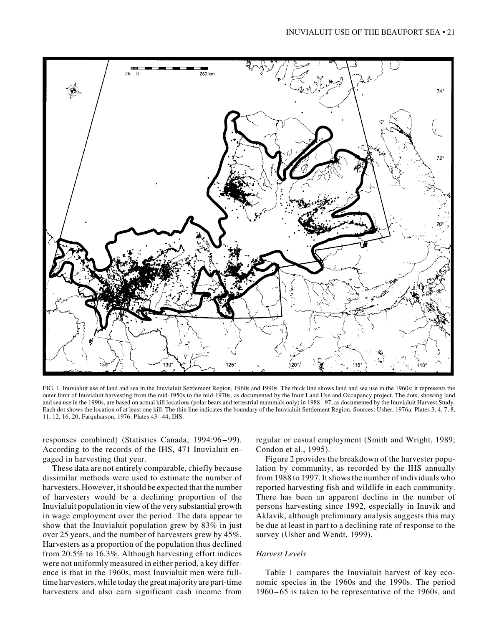

FIG. 1. Inuvialuit use of land and sea in the Inuvialuit Settlement Region, 1960s and 1990s. The thick line shows land and sea use in the 1960s: it represents the outer limit of Inuvialuit harvesting from the mid-1950s to the mid-1970s, as documented by the Inuit Land Use and Occupancy project. The dots, showing land and sea use in the 1990s, are based on actual kill locations (polar bears and terrestrial mammals only) in 1988 – 97, as documented by the Inuvialuit Harvest Study. Each dot shows the location of at least one kill. The thin line indicates the boundary of the Inuvialuit Settlement Region. Sources: Usher, 1976a: Plates 3, 4, 7, 8, 11, 12, 16, 20; Farquharson, 1976: Plates 43–44; IHS.

responses combined) (Statistics Canada, 1994:96 – 99). According to the records of the IHS, 471 Inuvialuit engaged in harvesting that year.

These data are not entirely comparable, chiefly because dissimilar methods were used to estimate the number of harvesters. However, it should be expected that the number of harvesters would be a declining proportion of the Inuvialuit population in view of the very substantial growth in wage employment over the period. The data appear to show that the Inuvialuit population grew by 83% in just over 25 years, and the number of harvesters grew by 45%. Harvesters as a proportion of the population thus declined from 20.5% to 16.3%. Although harvesting effort indices were not uniformly measured in either period, a key difference is that in the 1960s, most Inuvialuit men were fulltime harvesters, while today the great majority are part-time harvesters and also earn significant cash income from

regular or casual employment (Smith and Wright, 1989; Condon et al., 1995).

Figure 2 provides the breakdown of the harvester population by community, as recorded by the IHS annually from 1988 to 1997. It shows the number of individuals who reported harvesting fish and wildlife in each community. There has been an apparent decline in the number of persons harvesting since 1992, especially in Inuvik and Aklavik, although preliminary analysis suggests this may be due at least in part to a declining rate of response to the survey (Usher and Wendt, 1999).

# *Harvest Levels*

Table 1 compares the Inuvialuit harvest of key economic species in the 1960s and the 1990s. The period 1960 – 65 is taken to be representative of the 1960s, and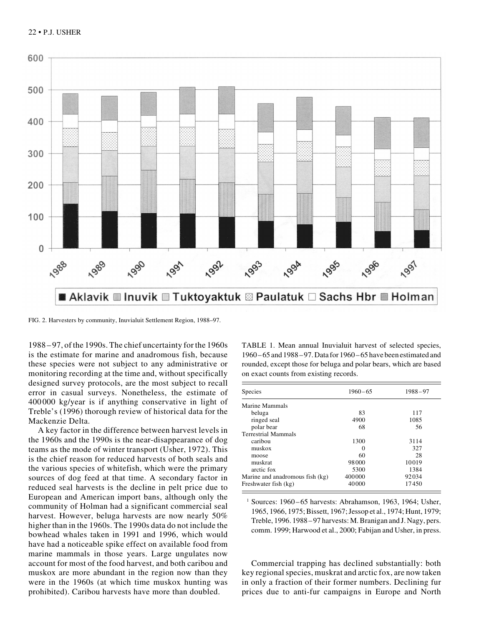

FIG. 2. Harvesters by community, Inuvialuit Settlement Region, 1988–97.

1988–97, of the 1990s. The chief uncertainty for the 1960s is the estimate for marine and anadromous fish, because these species were not subject to any administrative or monitoring recording at the time and, without specifically designed survey protocols, are the most subject to recall error in casual surveys. Nonetheless, the estimate of 400000 kg/year is if anything conservative in light of Treble's (1996) thorough review of historical data for the Mackenzie Delta.

A key factor in the difference between harvest levels in the 1960s and the 1990s is the near-disappearance of dog teams as the mode of winter transport (Usher, 1972). This is the chief reason for reduced harvests of both seals and the various species of whitefish, which were the primary sources of dog feed at that time. A secondary factor in reduced seal harvests is the decline in pelt price due to European and American import bans, although only the community of Holman had a significant commercial seal harvest. However, beluga harvests are now nearly 50% higher than in the 1960s. The 1990s data do not include the bowhead whales taken in 1991 and 1996, which would have had a noticeable spike effect on available food from marine mammals in those years. Large ungulates now account for most of the food harvest, and both caribou and muskox are more abundant in the region now than they were in the 1960s (at which time muskox hunting was prohibited). Caribou harvests have more than doubled.

TABLE 1. Mean annual Inuvialuit harvest of selected species, 1960–65 and 1988–97. Data for 1960–65 have been estimated and rounded, except those for beluga and polar bears, which are based on exact counts from existing records.

| Species                         | $1960 - 65$ | $1988 - 97$ |  |
|---------------------------------|-------------|-------------|--|
| Marine Mammals                  |             |             |  |
| beluga                          | 83          | 117         |  |
| ringed seal                     | 4900        | 1085        |  |
| polar bear                      | 68          | 56          |  |
| <b>Terrestrial Mammals</b>      |             |             |  |
| caribou                         | 1300        | 3114        |  |
| muskox                          | $\Omega$    | 327         |  |
| moose                           | 60          | 28          |  |
| muskrat                         | 98000       | 10019       |  |
| arctic fox                      | 5300        | 1384        |  |
| Marine and anadromous fish (kg) | 400000      | 92034       |  |
| Freshwater fish (kg)            | 40000       | 17450       |  |

<sup>1</sup> Sources:  $1960-65$  harvests: Abrahamson, 1963, 1964; Usher, 1965, 1966, 1975; Bissett, 1967; Jessop et al., 1974; Hunt, 1979; Treble, 1996. 1988–97 harvests: M. Branigan and J. Nagy, pers. comm. 1999; Harwood et al., 2000; Fabijan and Usher, in press.

Commercial trapping has declined substantially: both key regional species, muskrat and arctic fox, are now taken in only a fraction of their former numbers. Declining fur prices due to anti-fur campaigns in Europe and North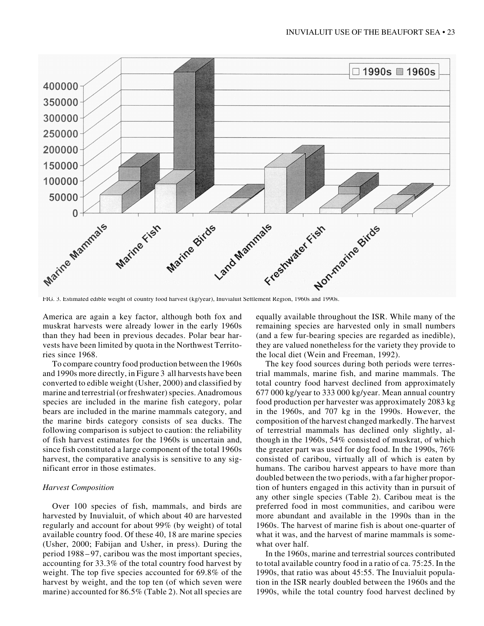

America are again a key factor, although both fox and muskrat harvests were already lower in the early 1960s than they had been in previous decades. Polar bear harvests have been limited by quota in the Northwest Territories since 1968.

To compare country food production between the 1960s and 1990s more directly, in Figure 3 all harvests have been converted to edible weight (Usher, 2000) and classified by marine and terrestrial (or freshwater) species. Anadromous species are included in the marine fish category, polar bears are included in the marine mammals category, and the marine birds category consists of sea ducks. The following comparison is subject to caution: the reliability of fish harvest estimates for the 1960s is uncertain and, since fish constituted a large component of the total 1960s harvest, the comparative analysis is sensitive to any significant error in those estimates.

## *Harvest Composition*

Over 100 species of fish, mammals, and birds are harvested by Inuvialuit, of which about 40 are harvested regularly and account for about 99% (by weight) of total available country food. Of these 40, 18 are marine species (Usher, 2000; Fabijan and Usher, in press). During the period 1988 – 97, caribou was the most important species, accounting for 33.3% of the total country food harvest by weight. The top five species accounted for 69.8% of the harvest by weight, and the top ten (of which seven were marine) accounted for 86.5% (Table 2). Not all species are equally available throughout the ISR. While many of the remaining species are harvested only in small numbers (and a few fur-bearing species are regarded as inedible), they are valued nonetheless for the variety they provide to the local diet (Wein and Freeman, 1992).

The key food sources during both periods were terrestrial mammals, marine fish, and marine mammals. The total country food harvest declined from approximately 677 000 kg/year to 333 000 kg/year. Mean annual country food production per harvester was approximately 2083 kg in the 1960s, and 707 kg in the 1990s. However, the composition of the harvest changed markedly. The harvest of terrestrial mammals has declined only slightly, although in the 1960s, 54% consisted of muskrat, of which the greater part was used for dog food. In the 1990s, 76% consisted of caribou, virtually all of which is eaten by humans. The caribou harvest appears to have more than doubled between the two periods, with a far higher proportion of hunters engaged in this activity than in pursuit of any other single species (Table 2). Caribou meat is the preferred food in most communities, and caribou were more abundant and available in the 1990s than in the 1960s. The harvest of marine fish is about one-quarter of what it was, and the harvest of marine mammals is somewhat over half.

In the 1960s, marine and terrestrial sources contributed to total available country food in a ratio of ca. 75:25. In the 1990s, that ratio was about 45:55. The Inuvialuit population in the ISR nearly doubled between the 1960s and the 1990s, while the total country food harvest declined by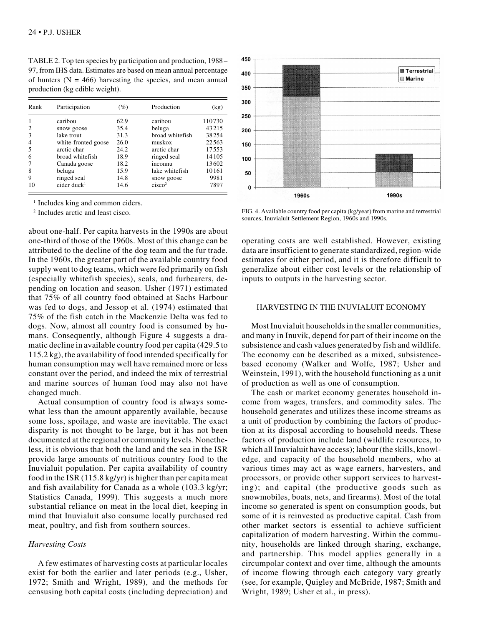TABLE 2. Top ten species by participation and production, 1988– 97, from IHS data. Estimates are based on mean annual percentage of hunters  $(N = 466)$  harvesting the species, and mean annual production (kg edible weight).

| Rank | Participation           | $(\%)$ | Production         | (kg)    |
|------|-------------------------|--------|--------------------|---------|
|      | caribou                 | 62.9   | caribou            | 110730  |
| 2    | snow goose              | 35.4   | beluga             | 43215   |
| 3    | lake trout              | 31.3   | broad whitefish    | 38254   |
| 4    | white-fronted goose     | 26.0   | muskox             | 22563   |
| 5    | arctic char             | 24.2   | arctic char        | 17553   |
| 6    | broad whitefish         | 18.9   | ringed seal        | 14 10 5 |
| 7    | Canada goose            | 18.2   | inconnu            | 13602   |
| 8    | beluga                  | 15.9   | lake whitefish     | 10161   |
| 9    | ringed seal             | 14.8   | snow goose         | 9981    |
| 10   | eider duck <sup>1</sup> | 14.6   | cisco <sup>2</sup> | 7897    |

<sup>1</sup> Includes king and common eiders.

about one-half. Per capita harvests in the 1990s are about one-third of those of the 1960s. Most of this change can be attributed to the decline of the dog team and the fur trade. In the 1960s, the greater part of the available country food supply went to dog teams, which were fed primarily on fish (especially whitefish species), seals, and furbearers, depending on location and season. Usher (1971) estimated that 75% of all country food obtained at Sachs Harbour was fed to dogs, and Jessop et al. (1974) estimated that 75% of the fish catch in the Mackenzie Delta was fed to dogs. Now, almost all country food is consumed by humans. Consequently, although Figure 4 suggests a dramatic decline in available country food per capita (429.5 to 115.2 kg), the availability of food intended specifically for human consumption may well have remained more or less constant over the period, and indeed the mix of terrestrial and marine sources of human food may also not have changed much.

Actual consumption of country food is always somewhat less than the amount apparently available, because some loss, spoilage, and waste are inevitable. The exact disparity is not thought to be large, but it has not been documented at the regional or community levels. Nonetheless, it is obvious that both the land and the sea in the ISR provide large amounts of nutritious country food to the Inuvialuit population. Per capita availability of country food in the ISR (115.8 kg/yr) is higher than per capita meat and fish availability for Canada as a whole (103.3 kg/yr; Statistics Canada, 1999). This suggests a much more substantial reliance on meat in the local diet, keeping in mind that Inuvialuit also consume locally purchased red meat, poultry, and fish from southern sources.

#### *Harvesting Costs*

A few estimates of harvesting costs at particular locales exist for both the earlier and later periods (e.g., Usher, 1972; Smith and Wright, 1989), and the methods for censusing both capital costs (including depreciation) and



<sup>2</sup> Includes arctic and least cisco. FIG. 4. Available country food per capita (kg/year) from marine and terrestrial sources, Inuvialuit Settlement Region, 1960s and 1990s.

operating costs are well established. However, existing data are insufficient to generate standardized, region-wide estimates for either period, and it is therefore difficult to generalize about either cost levels or the relationship of inputs to outputs in the harvesting sector.

## HARVESTING IN THE INUVIALUIT ECONOMY

Most Inuvialuit households in the smaller communities, and many in Inuvik, depend for part of their income on the subsistence and cash values generated by fish and wildlife. The economy can be described as a mixed, subsistencebased economy (Walker and Wolfe, 1987; Usher and Weinstein, 1991), with the household functioning as a unit of production as well as one of consumption.

The cash or market economy generates household income from wages, transfers, and commodity sales. The household generates and utilizes these income streams as a unit of production by combining the factors of production at its disposal according to household needs. These factors of production include land (wildlife resources, to which all Inuvialuit have access); labour (the skills, knowledge, and capacity of the household members, who at various times may act as wage earners, harvesters, and processors, or provide other support services to harvesting); and capital (the productive goods such as snowmobiles, boats, nets, and firearms). Most of the total income so generated is spent on consumption goods, but some of it is reinvested as productive capital. Cash from other market sectors is essential to achieve sufficient capitalization of modern harvesting. Within the community, households are linked through sharing, exchange, and partnership. This model applies generally in a circumpolar context and over time, although the amounts of income flowing through each category vary greatly (see, for example, Quigley and McBride, 1987; Smith and Wright, 1989; Usher et al., in press).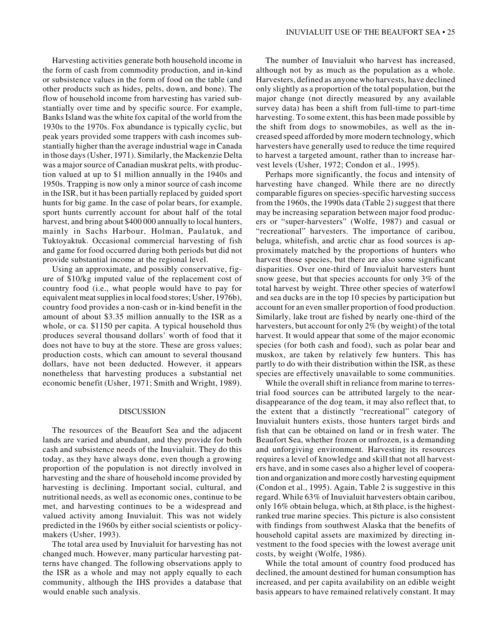Harvesting activities generate both household income in the form of cash from commodity production, and in-kind or subsistence values in the form of food on the table (and other products such as hides, pelts, down, and bone). The flow of household income from harvesting has varied substantially over time and by specific source. For example, Banks Island was the white fox capital of the world from the 1930s to the 1970s. Fox abundance is typically cyclic, but peak years provided some trappers with cash incomes substantially higher than the average industrial wage in Canada in those days (Usher, 1971). Similarly, the Mackenzie Delta was a major source of Canadian muskrat pelts, with production valued at up to \$1 million annually in the 1940s and 1950s. Trapping is now only a minor source of cash income in the ISR, but it has been partially replaced by guided sport hunts for big game. In the case of polar bears, for example, sport hunts currently account for about half of the total harvest, and bring about \$400 000 annually to local hunters, mainly in Sachs Harbour, Holman, Paulatuk, and Tuktoyaktuk. Occasional commercial harvesting of fish and game for food occurred during both periods but did not provide substantial income at the regional level.

Using an approximate, and possibly conservative, figure of \$10/kg imputed value of the replacement cost of country food (i.e., what people would have to pay for equivalent meat supplies in local food stores; Usher, 1976b), country food provides a non-cash or in-kind benefit in the amount of about \$3.35 million annually to the ISR as a whole, or ca. \$1150 per capita. A typical household thus produces several thousand dollars' worth of food that it does not have to buy at the store. These are gross values; production costs, which can amount to several thousand dollars, have not been deducted. However, it appears nonetheless that harvesting produces a substantial net economic benefit (Usher, 1971; Smith and Wright, 1989).

#### DISCUSSION

The resources of the Beaufort Sea and the adjacent lands are varied and abundant, and they provide for both cash and subsistence needs of the Inuvialuit. They do this today, as they have always done, even though a growing proportion of the population is not directly involved in harvesting and the share of household income provided by harvesting is declining. Important social, cultural, and nutritional needs, as well as economic ones, continue to be met, and harvesting continues to be a widespread and valued activity among Inuvialuit. This was not widely predicted in the 1960s by either social scientists or policymakers (Usher, 1993).

The total area used by Inuvialuit for harvesting has not changed much. However, many particular harvesting patterns have changed. The following observations apply to the ISR as a whole and may not apply equally to each community, although the IHS provides a database that would enable such analysis.

The number of Inuvialuit who harvest has increased, although not by as much as the population as a whole. Harvesters, defined as anyone who harvests, have declined only slightly as a proportion of the total population, but the major change (not directly measured by any available survey data) has been a shift from full-time to part-time harvesting. To some extent, this has been made possible by the shift from dogs to snowmobiles, as well as the increased speed afforded by more modern technology, which harvesters have generally used to reduce the time required to harvest a targeted amount, rather than to increase harvest levels (Usher, 1972; Condon et al., 1995).

Perhaps more significantly, the focus and intensity of harvesting have changed. While there are no directly comparable figures on species-specific harvesting success from the 1960s, the 1990s data (Table 2) suggest that there may be increasing separation between major food producers or "super-harvesters" (Wolfe, 1987) and casual or "recreational" harvesters. The importance of caribou, beluga, whitefish, and arctic char as food sources is approximately matched by the proportions of hunters who harvest those species, but there are also some significant disparities. Over one-third of Inuvialuit harvesters hunt snow geese, but that species accounts for only 3% of the total harvest by weight. Three other species of waterfowl and sea ducks are in the top 10 species by participation but account for an even smaller proportion of food production. Similarly, lake trout are fished by nearly one-third of the harvesters, but account for only 2% (by weight) of the total harvest. It would appear that some of the major economic species (for both cash and food), such as polar bear and muskox, are taken by relatively few hunters. This has partly to do with their distribution within the ISR, as these species are effectively unavailable to some communities.

While the overall shift in reliance from marine to terrestrial food sources can be attributed largely to the neardisappearance of the dog team, it may also reflect that, to the extent that a distinctly "recreational" category of Inuvialuit hunters exists, those hunters target birds and fish that can be obtained on land or in fresh water. The Beaufort Sea, whether frozen or unfrozen, is a demanding and unforgiving environment. Harvesting its resources requires a level of knowledge and skill that not all harvesters have, and in some cases also a higher level of cooperation and organization and more costly harvesting equipment (Condon et al., 1995). Again, Table 2 is suggestive in this regard. While 63% of Inuvialuit harvesters obtain caribou, only 16% obtain beluga, which, at 8th place, is the highestranked true marine species. This picture is also consistent with findings from southwest Alaska that the benefits of household capital assets are maximized by directing investment to the food species with the lowest average unit costs, by weight (Wolfe, 1986).

While the total amount of country food produced has declined, the amount destined for human consumption has increased, and per capita availability on an edible weight basis appears to have remained relatively constant. It may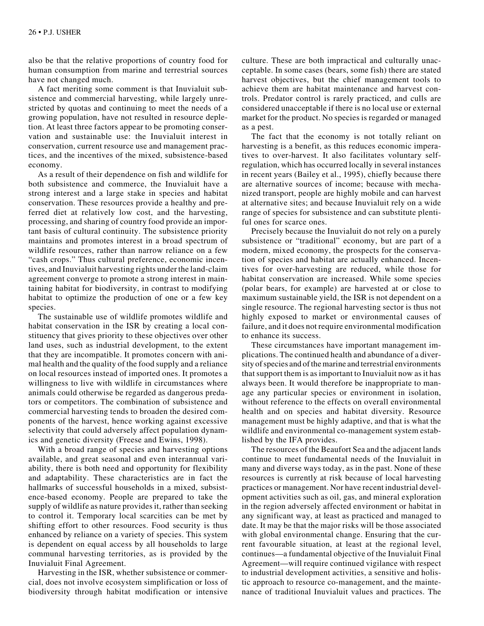also be that the relative proportions of country food for human consumption from marine and terrestrial sources have not changed much.

A fact meriting some comment is that Inuvialuit subsistence and commercial harvesting, while largely unrestricted by quotas and continuing to meet the needs of a growing population, have not resulted in resource depletion. At least three factors appear to be promoting conservation and sustainable use: the Inuvialuit interest in conservation, current resource use and management practices, and the incentives of the mixed, subsistence-based economy.

As a result of their dependence on fish and wildlife for both subsistence and commerce, the Inuvialuit have a strong interest and a large stake in species and habitat conservation. These resources provide a healthy and preferred diet at relatively low cost, and the harvesting, processing, and sharing of country food provide an important basis of cultural continuity. The subsistence priority maintains and promotes interest in a broad spectrum of wildlife resources, rather than narrow reliance on a few "cash crops." Thus cultural preference, economic incentives, and Inuvialuit harvesting rights under the land-claim agreement converge to promote a strong interest in maintaining habitat for biodiversity, in contrast to modifying habitat to optimize the production of one or a few key species.

The sustainable use of wildlife promotes wildlife and habitat conservation in the ISR by creating a local constituency that gives priority to these objectives over other land uses, such as industrial development, to the extent that they are incompatible. It promotes concern with animal health and the quality of the food supply and a reliance on local resources instead of imported ones. It promotes a willingness to live with wildlife in circumstances where animals could otherwise be regarded as dangerous predators or competitors. The combination of subsistence and commercial harvesting tends to broaden the desired components of the harvest, hence working against excessive selectivity that could adversely affect population dynamics and genetic diversity (Freese and Ewins, 1998).

With a broad range of species and harvesting options available, and great seasonal and even interannual variability, there is both need and opportunity for flexibility and adaptability. These characteristics are in fact the hallmarks of successful households in a mixed, subsistence-based economy. People are prepared to take the supply of wildlife as nature provides it, rather than seeking to control it. Temporary local scarcities can be met by shifting effort to other resources. Food security is thus enhanced by reliance on a variety of species. This system is dependent on equal access by all households to large communal harvesting territories, as is provided by the Inuvialuit Final Agreement.

Harvesting in the ISR, whether subsistence or commercial, does not involve ecosystem simplification or loss of biodiversity through habitat modification or intensive culture. These are both impractical and culturally unacceptable. In some cases (bears, some fish) there are stated harvest objectives, but the chief management tools to achieve them are habitat maintenance and harvest controls. Predator control is rarely practiced, and culls are considered unacceptable if there is no local use or external market for the product. No species is regarded or managed as a pest.

The fact that the economy is not totally reliant on harvesting is a benefit, as this reduces economic imperatives to over-harvest. It also facilitates voluntary selfregulation, which has occurred locally in several instances in recent years (Bailey et al., 1995), chiefly because there are alternative sources of income; because with mechanized transport, people are highly mobile and can harvest at alternative sites; and because Inuvialuit rely on a wide range of species for subsistence and can substitute plentiful ones for scarce ones.

Precisely because the Inuvialuit do not rely on a purely subsistence or "traditional" economy, but are part of a modern, mixed economy, the prospects for the conservation of species and habitat are actually enhanced. Incentives for over-harvesting are reduced, while those for habitat conservation are increased. While some species (polar bears, for example) are harvested at or close to maximum sustainable yield, the ISR is not dependent on a single resource. The regional harvesting sector is thus not highly exposed to market or environmental causes of failure, and it does not require environmental modification to enhance its success.

These circumstances have important management implications. The continued health and abundance of a diversity of species and of the marine and terrestrial environments that support them is as important to Inuvialuit now as it has always been. It would therefore be inappropriate to manage any particular species or environment in isolation, without reference to the effects on overall environmental health and on species and habitat diversity. Resource management must be highly adaptive, and that is what the wildlife and environmental co-management system established by the IFA provides.

The resources of the Beaufort Sea and the adjacent lands continue to meet fundamental needs of the Inuvialuit in many and diverse ways today, as in the past. None of these resources is currently at risk because of local harvesting practices or management. Nor have recent industrial development activities such as oil, gas, and mineral exploration in the region adversely affected environment or habitat in any significant way, at least as practiced and managed to date. It may be that the major risks will be those associated with global environmental change. Ensuring that the current favourable situation, at least at the regional level, continues—a fundamental objective of the Inuvialuit Final Agreement—will require continued vigilance with respect to industrial development activities, a sensitive and holistic approach to resource co-management, and the maintenance of traditional Inuvialuit values and practices. The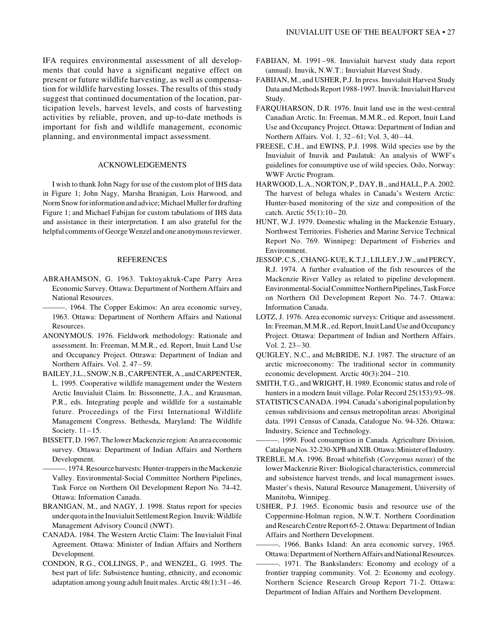IFA requires environmental assessment of all developments that could have a significant negative effect on present or future wildlife harvesting, as well as compensation for wildlife harvesting losses. The results of this study suggest that continued documentation of the location, participation levels, harvest levels, and costs of harvesting activities by reliable, proven, and up-to-date methods is important for fish and wildlife management, economic planning, and environmental impact assessment.

# ACKNOWLEDGEMENTS

I wish to thank John Nagy for use of the custom plot of IHS data in Figure 1; John Nagy, Marsha Branigan, Lois Harwood, and Norm Snow for information and advice; Michael Muller for drafting Figure 1; and Michael Fabijan for custom tabulations of IHS data and assistance in their interpretation. I am also grateful for the helpful comments of George Wenzel and one anonymous reviewer.

## REFERENCES

ABRAHAMSON, G. 1963. Tuktoyaktuk-Cape Parry Area Economic Survey. Ottawa: Department of Northern Affairs and National Resources.

———. 1964. The Copper Eskimos: An area economic survey, 1963. Ottawa: Department of Northern Affairs and National Resources.

- ANONYMOUS. 1976. Fieldwork methodology: Rationale and assessment. In: Freeman, M.M.R., ed. Report, Inuit Land Use and Occupancy Project. Ottrawa: Department of Indian and Northern Affairs. Vol. 2. 47 –59.
- BAILEY, J.L., SNOW, N.B., CARPENTER, A., and CARPENTER, L. 1995. Cooperative wildlife management under the Western Arctic Inuvialuit Claim. In: Bissonnette, J.A., and Krausman, P.R., eds. Integrating people and wildlife for a sustainable future. Proceedings of the First International Wildlife Management Congress. Bethesda, Maryland: The Wildlife Society. 11-15.
- BISSETT, D. 1967. The lower Mackenzie region: An area economic survey. Ottawa: Department of Indian Affairs and Northern Development.
	- ———. 1974. Resource harvests: Hunter-trappers in the Mackenzie Valley. Environmental-Social Committee Northern Pipelines, Task Force on Northern Oil Development Report No. 74-42. Ottawa: Information Canada.
- BRANIGAN, M., and NAGY, J. 1998. Status report for species under quota in the Inuvialuit Settlement Region. Inuvik: Wildlife Management Advisory Council (NWT).
- CANADA. 1984. The Western Arctic Claim: The Inuvialuit Final Agreement. Ottawa: Minister of Indian Affairs and Northern Development.
- CONDON, R.G., COLLINGS, P., and WENZEL, G. 1995. The best part of life: Subsistence hunting, ethnicity, and economic adaptation among young adult Inuit males. Arctic 48(1):31 –46.
- FABIJAN, M. 1991–98. Inuvialuit harvest study data report (annual). Inuvik, N.W.T.: Inuvialuit Harvest Study.
- FABIJAN, M., and USHER, P.J. In press. Inuvialuit Harvest Study Data and Methods Report 1988-1997. Inuvik: Inuvialuit Harvest Study.
- FARQUHARSON, D.R. 1976. Inuit land use in the west-central Canadian Arctic. In: Freeman, M.M.R., ed. Report, Inuit Land Use and Occupancy Project. Ottawa: Department of Indian and Northern Affairs. Vol. 1, 32–61; Vol. 3, 40–44.
- FREESE, C.H., and EWINS, P.J. 1998. Wild species use by the Inuvialuit of Inuvik and Paulatuk: An analysis of WWF's guidelines for consumptive use of wild species*.* Oslo, Norway: WWF Arctic Program.
- HARWOOD, L.A., NORTON, P., DAY, B., and HALL, P.A. 2002. The harvest of beluga whales in Canada's Western Arctic: Hunter-based monitoring of the size and composition of the catch. Arctic 55(1):10 –20.
- HUNT, W.J. 1979. Domestic whaling in the Mackenzie Estuary, Northwest Territories. Fisheries and Marine Service Technical Report No. 769. Winnipeg: Department of Fisheries and Environment.
- JESSOP, C.S., CHANG-KUE, K.T.J., LILLEY, J.W., and PERCY, R.J. 1974. A further evaluation of the fish resources of the Mackenzie River Valley as related to pipeline development. Environmental-Social Committee Northern Pipelines, Task Force on Northern Oil Development Report No. 74-7. Ottawa: Information Canada.
- LOTZ, J. 1976. Area economic surveys: Critique and assessment. In: Freeman, M.M.R., ed. Report, Inuit Land Use and Occupancy Project. Ottawa: Department of Indian and Northern Affairs. Vol. 2. 23 –30.
- QUIGLEY, N.C., and McBRIDE, N.J. 1987. The structure of an arctic microeconomy: The traditional sector in community economic development. Arctic 40(3):204–210.
- SMITH, T.G., and WRIGHT, H. 1989. Economic status and role of hunters in a modern Inuit village. Polar Record 25(153):93–98.
- STATISTICS CANADA. 1994. Canada's aboriginal population by census subdivisions and census metropolitan areas: Aboriginal data. 1991 Census of Canada, Catalogue No. 94-326. Ottawa: Industry, Science and Technology.

———. 1999. Food consumption in Canada. Agriculture Division, Catalogue Nos. 32-230-XPB and XIB. Ottawa: Minister of Industry.

- TREBLE, M.A. 1996. Broad whitefish (*Coregonus nasus*) of the lower Mackenzie River: Biological characteristics, commercial and subsistence harvest trends, and local management issues. Master's thesis, Natural Resource Management, University of Manitoba, Winnipeg.
- USHER, P.J. 1965. Economic basis and resource use of the Coppermine-Holman region, N.W.T. Northern Coordination and Research Centre Report 65-2. Ottawa: Department of Indian Affairs and Northern Development.
- ———. 1966. Banks Island: An area economic survey, 1965. Ottawa: Department of Northern Affairs and National Resources.
- ———. 1971. The Bankslanders: Economy and ecology of a frontier trapping community. Vol. 2: Economy and ecology. Northern Science Research Group Report 71-2. Ottawa: Department of Indian Affairs and Northern Development.